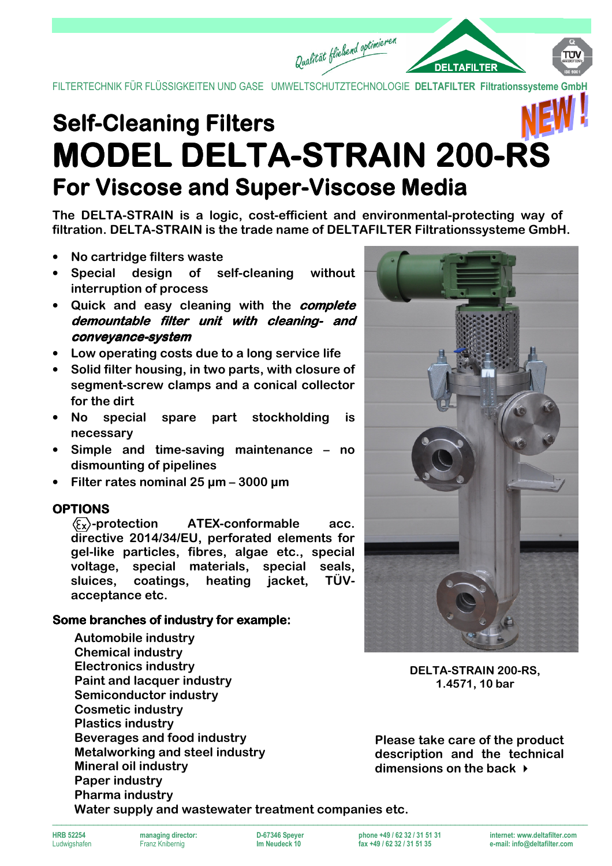FILTERTECHNIK FÜR FLÜSSIGKEITEN UND GASE UMWELTSCHUTZTECHNOLOGIE DELTAFILTER Filtrationssysteme

Qualität fließend optimieren

# **Self-Cleaning Filters MODEL DELTA-STRAIN 200-RS For Viscose and Super-Viscose Media**

**The DELTA-STRAIN is a logic, cost-efficient and environmental-protecting way of filtration. DELTA-STRAIN is the trade name of DELTAFILTER Filtrationssysteme GmbH.** 

- **No cartridge filters waste**
- **Special design of self-cleaning without interruption of process**
- **Quick and easy cleaning with the complete demountable filter unit with cleaning- and conveyance- conveyance-system**
- **Low operating costs due to a long service life**
- **Solid filter housing, in two parts, with closure of segment-screw clamps and a conical collector for the dirt**
- **No special spare part stockholding is necessary**
- **Simple and time-saving maintenance no dismounting of pipelines**
- **Filter rates nominal 25 µm 3000 µm**

## **OPTIONS**

**-protection ATEX-conformable acc. directive 2014/34/EU, perforated elements for gel-like particles, fibres, algae etc., special voltage, special materials, special seals, sluices, coatings, heating jacket, TÜVacceptance etc.**

## **Some branches of industry for example:**

**Automobile industry Chemical industry Electronics industry Paint and lacquer industry Semiconductor industry Cosmetic industry Plastics industry Beverages and food industry Metalworking and steel industry Mineral oil industry Paper industry Pharma industry Water supply and wastewater treatment companies etc.** 



**DELTA-STRAIN 200-RS, 1.4571, 10 bar** 

**Please take care of the product description and the technical dimensions on the back** 

fax +49 / 62 32 / 31 51 35